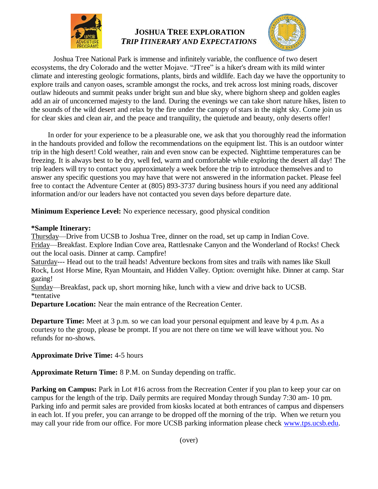

# **JOSHUA TREE EXPLORATION** *TRIP ITINERARY AND EXPECTATIONS*



Joshua Tree National Park is immense and infinitely variable, the confluence of two desert ecosystems, the dry Colorado and the wetter Mojave. "JTree" is a hiker's dream with its mild winter climate and interesting geologic formations, plants, birds and wildlife. Each day we have the opportunity to explore trails and canyon oases, scramble amongst the rocks, and trek across lost mining roads, discover outlaw hideouts and summit peaks under bright sun and blue sky, where bighorn sheep and golden eagles add an air of unconcerned majesty to the land. During the evenings we can take short nature hikes, listen to the sounds of the wild desert and relax by the fire under the canopy of stars in the night sky. Come join us for clear skies and clean air, and the peace and tranquility, the quietude and beauty, only deserts offer!

In order for your experience to be a pleasurable one, we ask that you thoroughly read the information in the handouts provided and follow the recommendations on the equipment list. This is an outdoor winter trip in the high desert! Cold weather, rain and even snow can be expected. Nighttime temperatures can be freezing. It is always best to be dry, well fed, warm and comfortable while exploring the desert all day! The trip leaders will try to contact you approximately a week before the trip to introduce themselves and to answer any specific questions you may have that were not answered in the information packet. Please feel free to contact the Adventure Center at (805) 893-3737 during business hours if you need any additional information and/or our leaders have not contacted you seven days before departure date.

**Minimum Experience Level:** No experience necessary, good physical condition

#### **\*Sample Itinerary:**

Thursday—Drive from UCSB to Joshua Tree, dinner on the road, set up camp in Indian Cove. Friday—Breakfast. Explore Indian Cove area, Rattlesnake Canyon and the Wonderland of Rocks! Check out the local oasis. Dinner at camp. Campfire!

Saturday--- Head out to the trail heads! Adventure beckons from sites and trails with names like Skull Rock, Lost Horse Mine, Ryan Mountain, and Hidden Valley. Option: overnight hike. Dinner at camp. Star gazing!

Sunday—Breakfast, pack up, short morning hike, lunch with a view and drive back to UCSB. \*tentative

**Departure Location:** Near the main entrance of the Recreation Center.

**Departure Time:** Meet at 3 p.m. so we can load your personal equipment and leave by 4 p.m. As a courtesy to the group, please be prompt. If you are not there on time we will leave without you. No refunds for no-shows.

#### **Approximate Drive Time:** 4-5 hours

**Approximate Return Time:** 8 P.M. on Sunday depending on traffic.

**Parking on Campus:** Park in Lot #16 across from the Recreation Center if you plan to keep your car on campus for the length of the trip. Daily permits are required Monday through Sunday 7:30 am- 10 pm. Parking info and permit sales are provided from kiosks located at both entrances of campus and dispensers in each lot. If you prefer, you can arrange to be dropped off the morning of the trip. When we return you may call your ride from our office. For more UCSB parking information please check [www.tps.ucsb.edu.](http://www.tps.ucsb.edu/)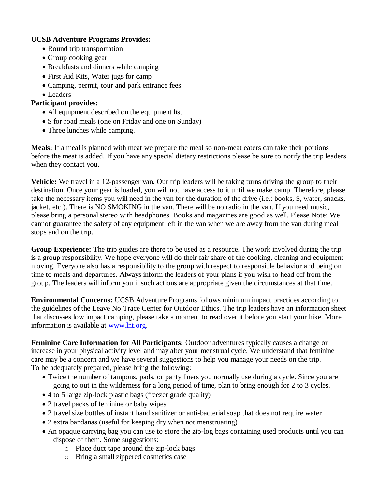#### **UCSB Adventure Programs Provides:**

- Round trip transportation
- Group cooking gear
- Breakfasts and dinners while camping
- First Aid Kits, Water jugs for camp
- Camping, permit, tour and park entrance fees
- Leaders

### **Participant provides:**

- All equipment described on the equipment list
- \$ for road meals (one on Friday and one on Sunday)
- Three lunches while camping.

**Meals:** If a meal is planned with meat we prepare the meal so non-meat eaters can take their portions before the meat is added. If you have any special dietary restrictions please be sure to notify the trip leaders when they contact you.

**Vehicle:** We travel in a 12-passenger van. Our trip leaders will be taking turns driving the group to their destination. Once your gear is loaded, you will not have access to it until we make camp. Therefore, please take the necessary items you will need in the van for the duration of the drive (i.e.: books, \$, water, snacks, jacket, etc.). There is NO SMOKING in the van. There will be no radio in the van. If you need music, please bring a personal stereo with headphones. Books and magazines are good as well. Please Note: We cannot guarantee the safety of any equipment left in the van when we are away from the van during meal stops and on the trip.

**Group Experience:** The trip guides are there to be used as a resource. The work involved during the trip is a group responsibility. We hope everyone will do their fair share of the cooking, cleaning and equipment moving. Everyone also has a responsibility to the group with respect to responsible behavior and being on time to meals and departures. Always inform the leaders of your plans if you wish to head off from the group. The leaders will inform you if such actions are appropriate given the circumstances at that time.

**Environmental Concerns:** UCSB Adventure Programs follows minimum impact practices according to the guidelines of the Leave No Trace Center for Outdoor Ethics. The trip leaders have an information sheet that discusses low impact camping, please take a moment to read over it before you start your hike. More information is available at [www.lnt.org.](http://www.lnt.org/)

**Feminine Care Information for All Participants:** Outdoor adventures typically causes a change or increase in your physical activity level and may alter your menstrual cycle. We understand that feminine care may be a concern and we have several suggestions to help you manage your needs on the trip. To be adequately prepared, please bring the following:

- Twice the number of tampons, pads, or panty liners you normally use during a cycle. Since you are going to out in the wilderness for a long period of time, plan to bring enough for 2 to 3 cycles.
- 4 to 5 large zip-lock plastic bags (freezer grade quality)
- 2 travel packs of feminine or baby wipes
- 2 travel size bottles of instant hand sanitizer or anti-bacterial soap that does not require water
- 2 extra bandanas (useful for keeping dry when not menstruating)
- An opaque carrying bag you can use to store the zip-log bags containing used products until you can dispose of them. Some suggestions:
	- o Place duct tape around the zip-lock bags
	- o Bring a small zippered cosmetics case